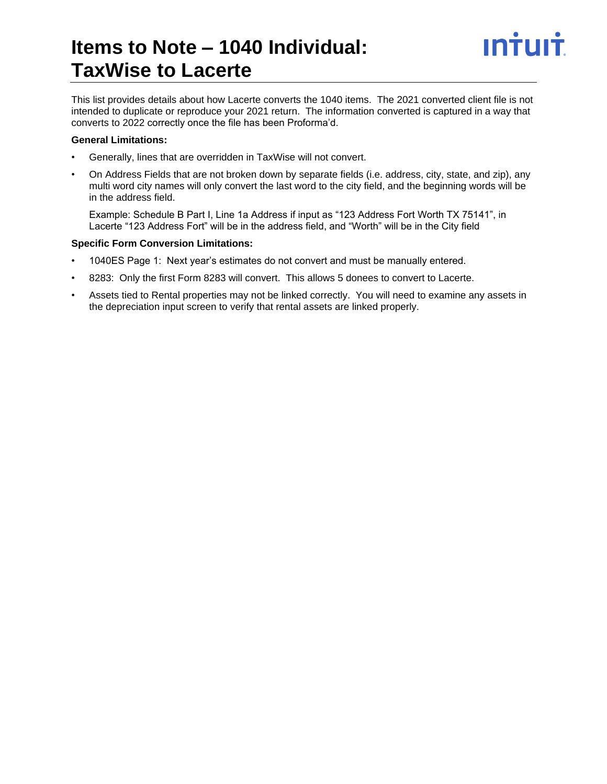# **Items to Note – 1040 Individual: TaxWise to Lacerte**

This list provides details about how Lacerte converts the 1040 items. The 2021 converted client file is not intended to duplicate or reproduce your 2021 return. The information converted is captured in a way that converts to 2022 correctly once the file has been Proforma'd.

# **General Limitations:**

- Generally, lines that are overridden in TaxWise will not convert.
- On Address Fields that are not broken down by separate fields (i.e. address, city, state, and zip), any multi word city names will only convert the last word to the city field, and the beginning words will be in the address field.

Example: Schedule B Part I, Line 1a Address if input as "123 Address Fort Worth TX 75141", in Lacerte "123 Address Fort" will be in the address field, and "Worth" will be in the City field

# **Specific Form Conversion Limitations:**

- 1040ES Page 1: Next year's estimates do not convert and must be manually entered.
- 8283: Only the first Form 8283 will convert. This allows 5 donees to convert to Lacerte.
- Assets tied to Rental properties may not be linked correctly. You will need to examine any assets in the depreciation input screen to verify that rental assets are linked properly.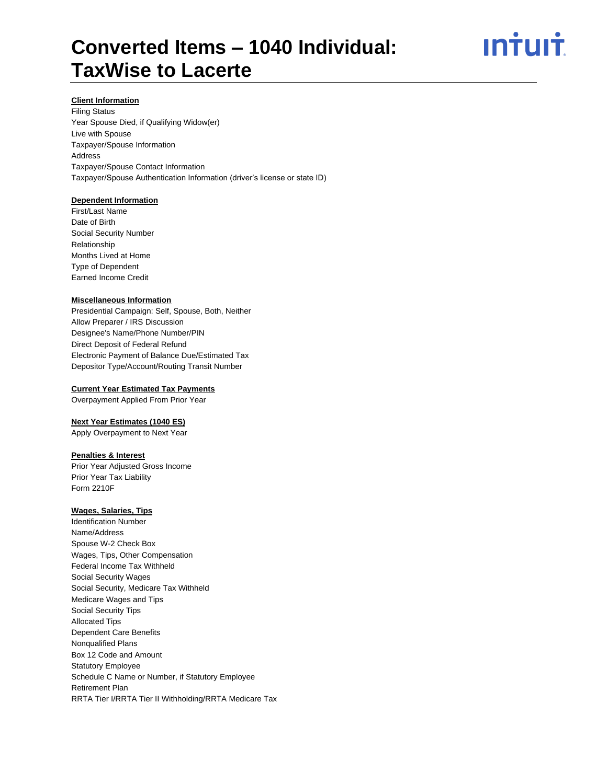# <u>ıntuıt</u>

## **Client Information**

Filing Status Year Spouse Died, if Qualifying Widow(er) Live with Spouse Taxpayer/Spouse Information Address Taxpayer/Spouse Contact Information Taxpayer/Spouse Authentication Information (driver's license or state ID)

# **Dependent Information**

First/Last Name Date of Birth Social Security Number Relationship Months Lived at Home Type of Dependent Earned Income Credit

## **Miscellaneous Information**

Presidential Campaign: Self, Spouse, Both, Neither Allow Preparer / IRS Discussion Designee's Name/Phone Number/PIN Direct Deposit of Federal Refund Electronic Payment of Balance Due/Estimated Tax Depositor Type/Account/Routing Transit Number

#### **Current Year Estimated Tax Payments**

Overpayment Applied From Prior Year

# **Next Year Estimates (1040 ES)**

Apply Overpayment to Next Year

#### **Penalties & Interest**

Prior Year Adjusted Gross Income Prior Year Tax Liability Form 2210F

## **Wages, Salaries, Tips**

Identification Number Name/Address Spouse W-2 Check Box Wages, Tips, Other Compensation Federal Income Tax Withheld Social Security Wages Social Security, Medicare Tax Withheld Medicare Wages and Tips Social Security Tips Allocated Tips Dependent Care Benefits Nonqualified Plans Box 12 Code and Amount Statutory Employee Schedule C Name or Number, if Statutory Employee Retirement Plan RRTA Tier I/RRTA Tier II Withholding/RRTA Medicare Tax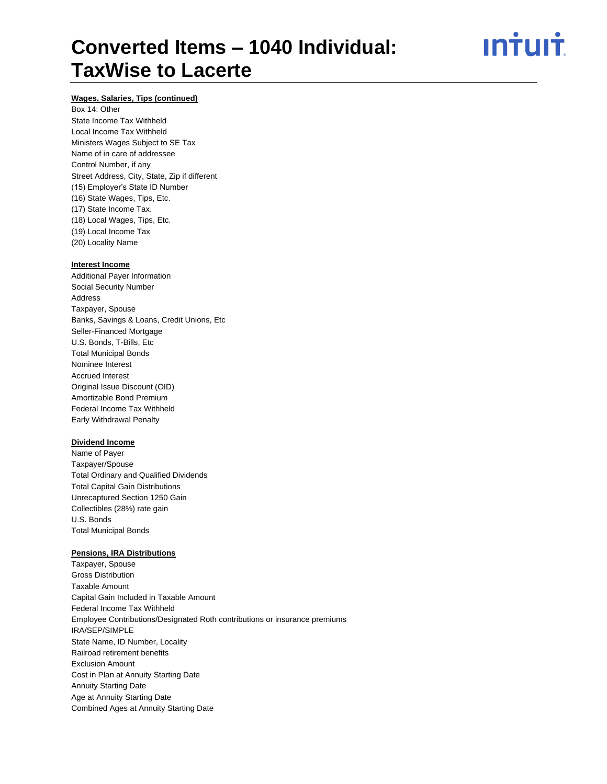ın†uı†

# **Wages, Salaries, Tips (continued)**

Box 14: Other State Income Tax Withheld Local Income Tax Withheld Ministers Wages Subject to SE Tax Name of in care of addressee Control Number, if any Street Address, City, State, Zip if different (15) Employer's State ID Number (16) State Wages, Tips, Etc. (17) State Income Tax. (18) Local Wages, Tips, Etc. (19) Local Income Tax (20) Locality Name

#### **Interest Income**

Additional Payer Information Social Security Number Address Taxpayer, Spouse Banks, Savings & Loans, Credit Unions, Etc Seller-Financed Mortgage U.S. Bonds, T-Bills, Etc Total Municipal Bonds Nominee Interest Accrued Interest Original Issue Discount (OID) Amortizable Bond Premium Federal Income Tax Withheld Early Withdrawal Penalty

# **Dividend Income**

Name of Payer Taxpayer/Spouse Total Ordinary and Qualified Dividends Total Capital Gain Distributions Unrecaptured Section 1250 Gain Collectibles (28%) rate gain U.S. Bonds Total Municipal Bonds

## **Pensions, IRA Distributions**

Taxpayer, Spouse Gross Distribution Taxable Amount Capital Gain Included in Taxable Amount Federal Income Tax Withheld Employee Contributions/Designated Roth contributions or insurance premiums IRA/SEP/SIMPLE State Name, ID Number, Locality Railroad retirement benefits Exclusion Amount Cost in Plan at Annuity Starting Date Annuity Starting Date Age at Annuity Starting Date Combined Ages at Annuity Starting Date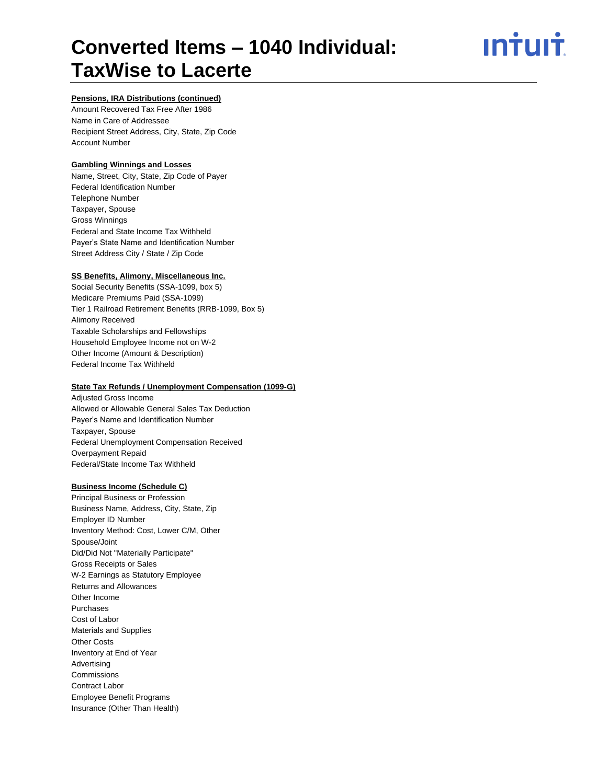<u>ıntuıt</u>

# **Pensions, IRA Distributions (continued)**

Amount Recovered Tax Free After 1986 Name in Care of Addressee Recipient Street Address, City, State, Zip Code Account Number

# **Gambling Winnings and Losses**

Name, Street, City, State, Zip Code of Payer Federal Identification Number Telephone Number Taxpayer, Spouse Gross Winnings Federal and State Income Tax Withheld Payer's State Name and Identification Number Street Address City / State / Zip Code

## **SS Benefits, Alimony, Miscellaneous Inc.**

Social Security Benefits (SSA-1099, box 5) Medicare Premiums Paid (SSA-1099) Tier 1 Railroad Retirement Benefits (RRB-1099, Box 5) Alimony Received Taxable Scholarships and Fellowships Household Employee Income not on W-2 Other Income (Amount & Description) Federal Income Tax Withheld

## **State Tax Refunds / Unemployment Compensation (1099-G)**

Adjusted Gross Income Allowed or Allowable General Sales Tax Deduction Payer's Name and Identification Number Taxpayer, Spouse Federal Unemployment Compensation Received Overpayment Repaid Federal/State Income Tax Withheld

#### **Business Income (Schedule C)**

Principal Business or Profession Business Name, Address, City, State, Zip Employer ID Number Inventory Method: Cost, Lower C/M, Other Spouse/Joint Did/Did Not "Materially Participate" Gross Receipts or Sales W-2 Earnings as Statutory Employee Returns and Allowances Other Income Purchases Cost of Labor Materials and Supplies Other Costs Inventory at End of Year Advertising Commissions Contract Labor Employee Benefit Programs Insurance (Other Than Health)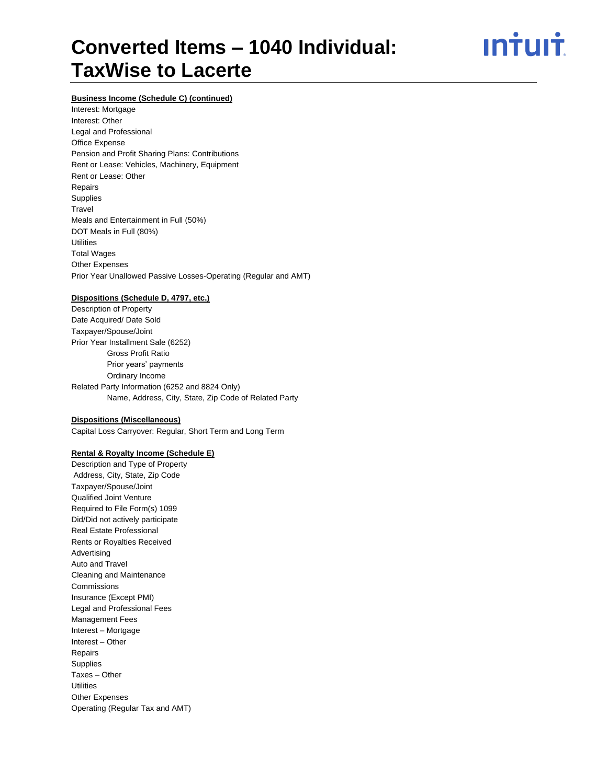# ın<del>i</del>uı<del>i</del>

# **Business Income (Schedule C) (continued)**

Interest: Mortgage Interest: Other Legal and Professional Office Expense Pension and Profit Sharing Plans: Contributions Rent or Lease: Vehicles, Machinery, Equipment Rent or Lease: Other Repairs Supplies **Travel** Meals and Entertainment in Full (50%) DOT Meals in Full (80%) **Utilities** Total Wages Other Expenses Prior Year Unallowed Passive Losses-Operating (Regular and AMT)

## **Dispositions (Schedule D, 4797, etc.)**

Description of Property Date Acquired/ Date Sold Taxpayer/Spouse/Joint Prior Year Installment Sale (6252) Gross Profit Ratio Prior years' payments Ordinary Income Related Party Information (6252 and 8824 Only) Name, Address, City, State, Zip Code of Related Party

#### **Dispositions (Miscellaneous)**

Capital Loss Carryover: Regular, Short Term and Long Term

# **Rental & Royalty Income (Schedule E)**

Description and Type of Property Address, City, State, Zip Code Taxpayer/Spouse/Joint Qualified Joint Venture Required to File Form(s) 1099 Did/Did not actively participate Real Estate Professional Rents or Royalties Received Advertising Auto and Travel Cleaning and Maintenance **Commissions** Insurance (Except PMI) Legal and Professional Fees Management Fees Interest – Mortgage Interest – Other Repairs Supplies Taxes – Other **Utilities** Other Expenses Operating (Regular Tax and AMT)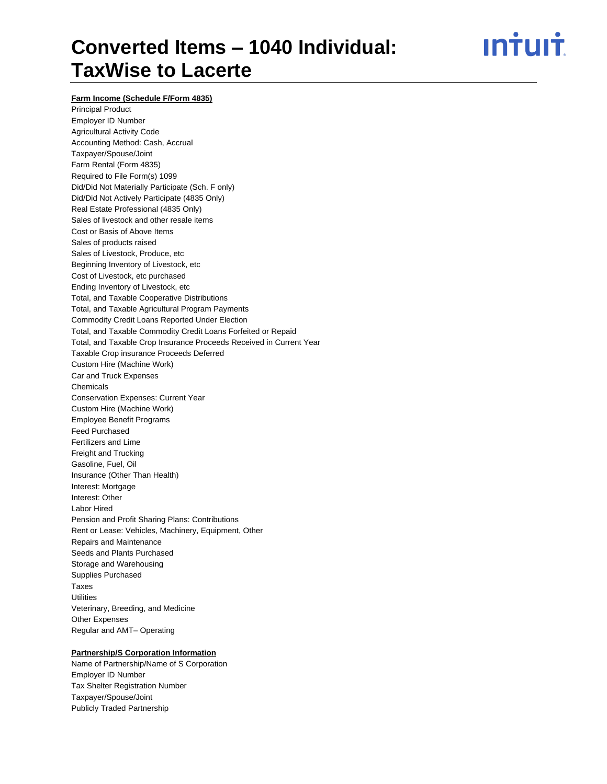# ın†uı†

**Farm Income (Schedule F/Form 4835)**

Principal Product Employer ID Number Agricultural Activity Code Accounting Method: Cash, Accrual Taxpayer/Spouse/Joint Farm Rental (Form 4835) Required to File Form(s) 1099 Did/Did Not Materially Participate (Sch. F only) Did/Did Not Actively Participate (4835 Only) Real Estate Professional (4835 Only) Sales of livestock and other resale items Cost or Basis of Above Items Sales of products raised Sales of Livestock, Produce, etc Beginning Inventory of Livestock, etc Cost of Livestock, etc purchased Ending Inventory of Livestock, etc Total, and Taxable Cooperative Distributions Total, and Taxable Agricultural Program Payments Commodity Credit Loans Reported Under Election Total, and Taxable Commodity Credit Loans Forfeited or Repaid Total, and Taxable Crop Insurance Proceeds Received in Current Year Taxable Crop insurance Proceeds Deferred Custom Hire (Machine Work) Car and Truck Expenses Chemicals Conservation Expenses: Current Year Custom Hire (Machine Work) Employee Benefit Programs Feed Purchased Fertilizers and Lime Freight and Trucking Gasoline, Fuel, Oil Insurance (Other Than Health) Interest: Mortgage Interest: Other Labor Hired Pension and Profit Sharing Plans: Contributions Rent or Lease: Vehicles, Machinery, Equipment, Other Repairs and Maintenance Seeds and Plants Purchased Storage and Warehousing Supplies Purchased Taxes Utilities Veterinary, Breeding, and Medicine Other Expenses Regular and AMT– Operating

### **Partnership/S Corporation Information**

Name of Partnership/Name of S Corporation Employer ID Number Tax Shelter Registration Number Taxpayer/Spouse/Joint Publicly Traded Partnership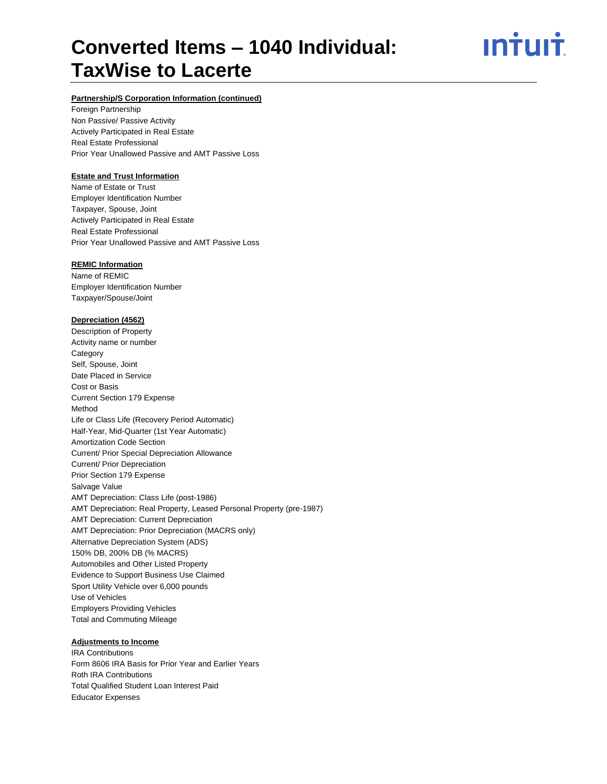<u>ıntuıt</u>

# **Partnership/S Corporation Information (continued)**

Foreign Partnership Non Passive/ Passive Activity Actively Participated in Real Estate Real Estate Professional Prior Year Unallowed Passive and AMT Passive Loss

# **Estate and Trust Information**

Name of Estate or Trust Employer Identification Number Taxpayer, Spouse, Joint Actively Participated in Real Estate Real Estate Professional Prior Year Unallowed Passive and AMT Passive Loss

# **REMIC Information**

Name of REMIC Employer Identification Number Taxpayer/Spouse/Joint

#### **Depreciation (4562)**

Description of Property Activity name or number **Category** Self, Spouse, Joint Date Placed in Service Cost or Basis Current Section 179 Expense Method Life or Class Life (Recovery Period Automatic) Half-Year, Mid-Quarter (1st Year Automatic) Amortization Code Section Current/ Prior Special Depreciation Allowance Current/ Prior Depreciation Prior Section 179 Expense Salvage Value AMT Depreciation: Class Life (post-1986) AMT Depreciation: Real Property, Leased Personal Property (pre-1987) AMT Depreciation: Current Depreciation AMT Depreciation: Prior Depreciation (MACRS only) Alternative Depreciation System (ADS) 150% DB, 200% DB (% MACRS) Automobiles and Other Listed Property Evidence to Support Business Use Claimed Sport Utility Vehicle over 6,000 pounds Use of Vehicles Employers Providing Vehicles Total and Commuting Mileage

#### **Adjustments to Income**

IRA Contributions Form 8606 IRA Basis for Prior Year and Earlier Years Roth IRA Contributions Total Qualified Student Loan Interest Paid Educator Expenses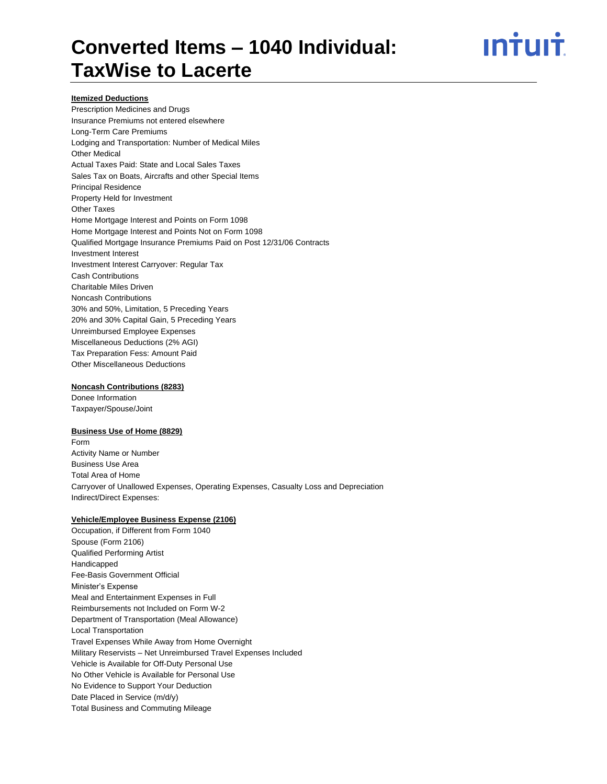# <u>ıntuıt</u>

# **Itemized Deductions**

Prescription Medicines and Drugs Insurance Premiums not entered elsewhere Long-Term Care Premiums Lodging and Transportation: Number of Medical Miles Other Medical Actual Taxes Paid: State and Local Sales Taxes Sales Tax on Boats, Aircrafts and other Special Items Principal Residence Property Held for Investment Other Taxes Home Mortgage Interest and Points on Form 1098 Home Mortgage Interest and Points Not on Form 1098 Qualified Mortgage Insurance Premiums Paid on Post 12/31/06 Contracts Investment Interest Investment Interest Carryover: Regular Tax Cash Contributions Charitable Miles Driven Noncash Contributions 30% and 50%, Limitation, 5 Preceding Years 20% and 30% Capital Gain, 5 Preceding Years Unreimbursed Employee Expenses Miscellaneous Deductions (2% AGI) Tax Preparation Fess: Amount Paid Other Miscellaneous Deductions

# **Noncash Contributions (8283)**

Donee Information Taxpayer/Spouse/Joint

# **Business Use of Home (8829)**

Form Activity Name or Number Business Use Area Total Area of Home Carryover of Unallowed Expenses, Operating Expenses, Casualty Loss and Depreciation Indirect/Direct Expenses:

#### **Vehicle/Employee Business Expense (2106)**

Occupation, if Different from Form 1040 Spouse (Form 2106) Qualified Performing Artist Handicapped Fee-Basis Government Official Minister's Expense Meal and Entertainment Expenses in Full Reimbursements not Included on Form W-2 Department of Transportation (Meal Allowance) Local Transportation Travel Expenses While Away from Home Overnight Military Reservists – Net Unreimbursed Travel Expenses Included Vehicle is Available for Off-Duty Personal Use No Other Vehicle is Available for Personal Use No Evidence to Support Your Deduction Date Placed in Service (m/d/y) Total Business and Commuting Mileage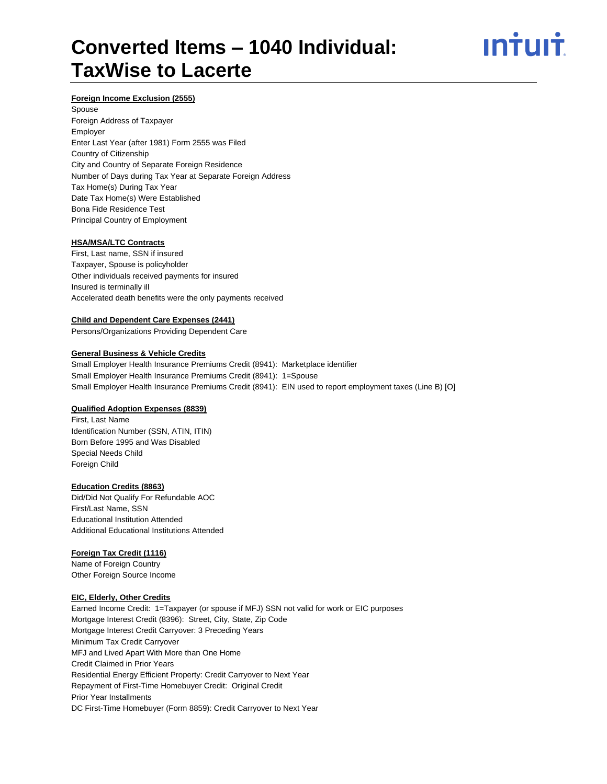# ın<del>i</del>uı<del>i</del>

## **Foreign Income Exclusion (2555)**

Spouse Foreign Address of Taxpayer Employer Enter Last Year (after 1981) Form 2555 was Filed Country of Citizenship City and Country of Separate Foreign Residence Number of Days during Tax Year at Separate Foreign Address Tax Home(s) During Tax Year Date Tax Home(s) Were Established Bona Fide Residence Test Principal Country of Employment

#### **HSA/MSA/LTC Contracts**

First, Last name, SSN if insured Taxpayer, Spouse is policyholder Other individuals received payments for insured Insured is terminally ill Accelerated death benefits were the only payments received

#### **Child and Dependent Care Expenses (2441)**

Persons/Organizations Providing Dependent Care

## **General Business & Vehicle Credits**

Small Employer Health Insurance Premiums Credit (8941): Marketplace identifier Small Employer Health Insurance Premiums Credit (8941): 1=Spouse Small Employer Health Insurance Premiums Credit (8941): EIN used to report employment taxes (Line B) [O]

#### **Qualified Adoption Expenses (8839)**

First, Last Name Identification Number (SSN, ATIN, ITIN) Born Before 1995 and Was Disabled Special Needs Child Foreign Child

#### **Education Credits (8863)**

Did/Did Not Qualify For Refundable AOC First/Last Name, SSN Educational Institution Attended Additional Educational Institutions Attended

#### **Foreign Tax Credit (1116)**

Name of Foreign Country Other Foreign Source Income

## **EIC, Elderly, Other Credits**

Earned Income Credit: 1=Taxpayer (or spouse if MFJ) SSN not valid for work or EIC purposes Mortgage Interest Credit (8396): Street, City, State, Zip Code Mortgage Interest Credit Carryover: 3 Preceding Years Minimum Tax Credit Carryover MFJ and Lived Apart With More than One Home Credit Claimed in Prior Years Residential Energy Efficient Property: Credit Carryover to Next Year Repayment of First-Time Homebuyer Credit: Original Credit Prior Year Installments DC First-Time Homebuyer (Form 8859): Credit Carryover to Next Year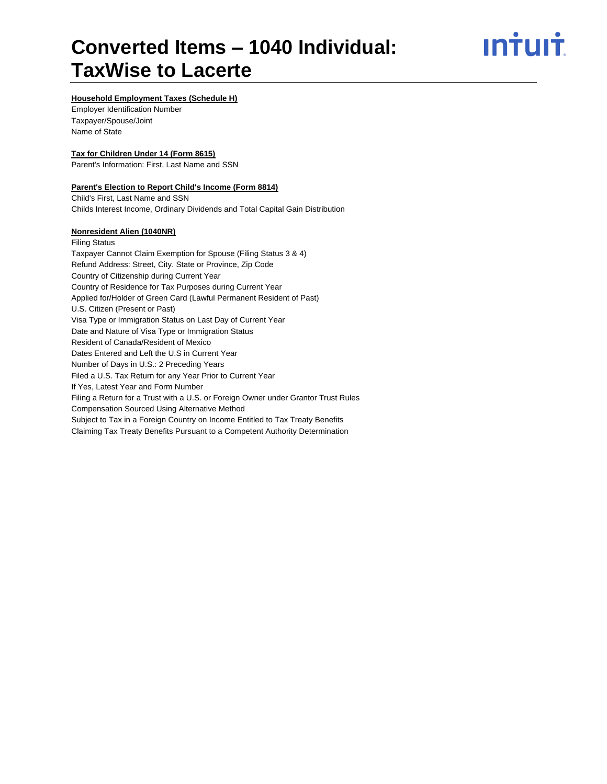# <u>**Intuit**</u>

# **Household Employment Taxes (Schedule H)**

Employer Identification Number Taxpayer/Spouse/Joint Name of State

## **Tax for Children Under 14 (Form 8615)**

Parent's Information: First, Last Name and SSN

## **Parent's Election to Report Child's Income (Form 8814)**

Child's First, Last Name and SSN Childs Interest Income, Ordinary Dividends and Total Capital Gain Distribution

# **Nonresident Alien (1040NR)** Filing Status Taxpayer Cannot Claim Exemption for Spouse (Filing Status 3 & 4) Refund Address: Street, City. State or Province, Zip Code Country of Citizenship during Current Year Country of Residence for Tax Purposes during Current Year Applied for/Holder of Green Card (Lawful Permanent Resident of Past) U.S. Citizen (Present or Past) Visa Type or Immigration Status on Last Day of Current Year Date and Nature of Visa Type or Immigration Status Resident of Canada/Resident of Mexico Dates Entered and Left the U.S in Current Year Number of Days in U.S.: 2 Preceding Years Filed a U.S. Tax Return for any Year Prior to Current Year If Yes, Latest Year and Form Number Filing a Return for a Trust with a U.S. or Foreign Owner under Grantor Trust Rules Compensation Sourced Using Alternative Method Subject to Tax in a Foreign Country on Income Entitled to Tax Treaty Benefits Claiming Tax Treaty Benefits Pursuant to a Competent Authority Determination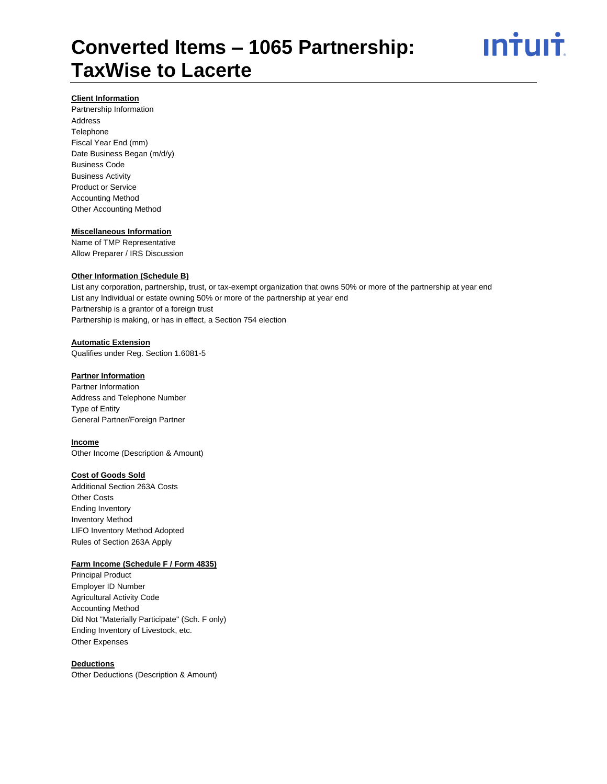

#### **Client Information**

Partnership Information Address Telephone Fiscal Year End (mm) Date Business Began (m/d/y) Business Code Business Activity Product or Service Accounting Method Other Accounting Method

#### **Miscellaneous Information**

Name of TMP Representative Allow Preparer / IRS Discussion

# **Other Information (Schedule B)**

List any corporation, partnership, trust, or tax-exempt organization that owns 50% or more of the partnership at year end List any Individual or estate owning 50% or more of the partnership at year end Partnership is a grantor of a foreign trust Partnership is making, or has in effect, a Section 754 election

# **Automatic Extension**

Qualifies under Reg. Section 1.6081-5

# **Partner Information**

Partner Information Address and Telephone Number Type of Entity General Partner/Foreign Partner

# **Income**

Other Income (Description & Amount)

#### **Cost of Goods Sold**

Additional Section 263A Costs Other Costs Ending Inventory Inventory Method LIFO Inventory Method Adopted Rules of Section 263A Apply

#### **Farm Income (Schedule F / Form 4835)**

Principal Product Employer ID Number Agricultural Activity Code Accounting Method Did Not "Materially Participate" (Sch. F only) Ending Inventory of Livestock, etc. Other Expenses

## **Deductions**

Other Deductions (Description & Amount)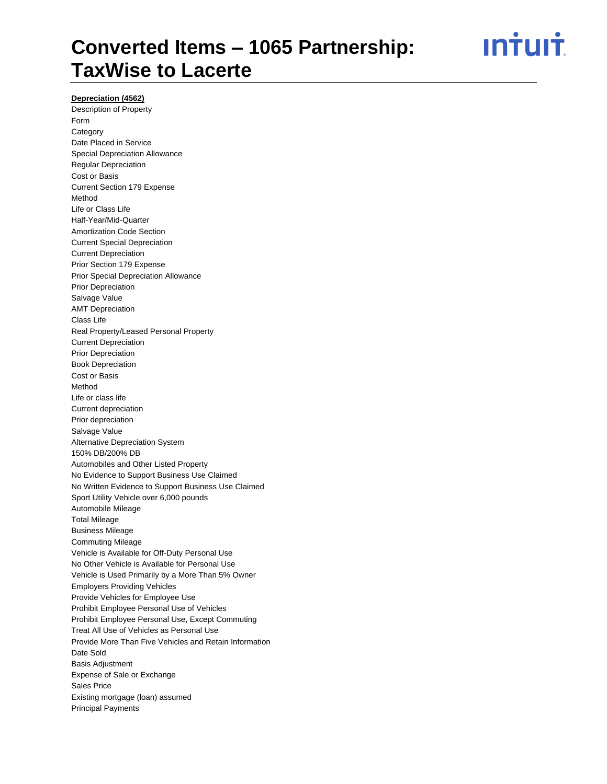<u>ıntuıt</u>

# **Depreciation (4562)**

Description of Property Form **Category** Date Placed in Service Special Depreciation Allowance Regular Depreciation Cost or Basis Current Section 179 Expense Method Life or Class Life Half-Year/Mid-Quarter Amortization Code Section Current Special Depreciation Current Depreciation Prior Section 179 Expense Prior Special Depreciation Allowance Prior Depreciation Salvage Value AMT Depreciation Class Life Real Property/Leased Personal Property Current Depreciation Prior Depreciation Book Depreciation Cost or Basis Method Life or class life Current depreciation Prior depreciation Salvage Value Alternative Depreciation System 150% DB/200% DB Automobiles and Other Listed Property No Evidence to Support Business Use Claimed No Written Evidence to Support Business Use Claimed Sport Utility Vehicle over 6,000 pounds Automobile Mileage Total Mileage Business Mileage Commuting Mileage Vehicle is Available for Off-Duty Personal Use No Other Vehicle is Available for Personal Use Vehicle is Used Primarily by a More Than 5% Owner Employers Providing Vehicles Provide Vehicles for Employee Use Prohibit Employee Personal Use of Vehicles Prohibit Employee Personal Use, Except Commuting Treat All Use of Vehicles as Personal Use Provide More Than Five Vehicles and Retain Information Date Sold Basis Adjustment Expense of Sale or Exchange Sales Price Existing mortgage (loan) assumed Principal Payments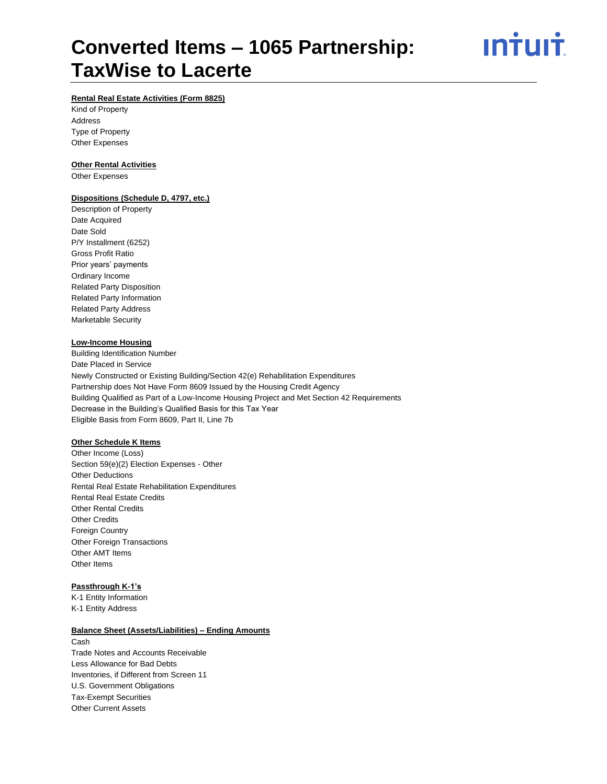<u>ıntuıt</u>

# **Rental Real Estate Activities (Form 8825)**

Kind of Property Address Type of Property Other Expenses

# **Other Rental Activities**

Other Expenses

#### **Dispositions (Schedule D, 4797, etc.)**

Description of Property Date Acquired Date Sold P/Y Installment (6252) Gross Profit Ratio Prior years' payments Ordinary Income Related Party Disposition Related Party Information Related Party Address Marketable Security

# **Low-Income Housing**

Building Identification Number Date Placed in Service Newly Constructed or Existing Building/Section 42(e) Rehabilitation Expenditures Partnership does Not Have Form 8609 Issued by the Housing Credit Agency Building Qualified as Part of a Low-Income Housing Project and Met Section 42 Requirements Decrease in the Building's Qualified Basis for this Tax Year Eligible Basis from Form 8609, Part II, Line 7b

# **Other Schedule K Items**

Other Income (Loss) Section 59(e)(2) Election Expenses - Other Other Deductions Rental Real Estate Rehabilitation Expenditures Rental Real Estate Credits Other Rental Credits Other Credits Foreign Country Other Foreign Transactions Other AMT Items Other Items

## **Passthrough K-1's**

K-1 Entity Information K-1 Entity Address

#### **Balance Sheet (Assets/Liabilities) – Ending Amounts**

Cash Trade Notes and Accounts Receivable Less Allowance for Bad Debts Inventories, if Different from Screen 11 U.S. Government Obligations Tax-Exempt Securities Other Current Assets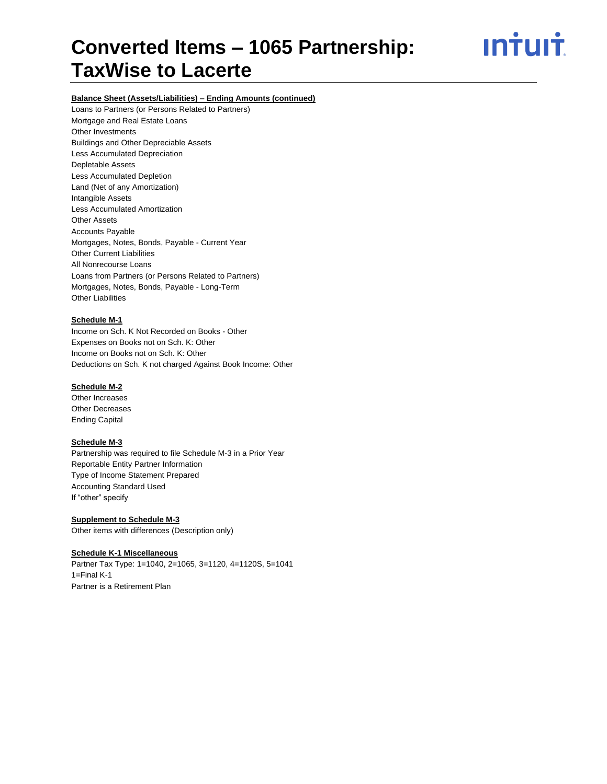<u>ıntuıt</u>

# **Balance Sheet (Assets/Liabilities) – Ending Amounts (continued)**

Loans to Partners (or Persons Related to Partners) Mortgage and Real Estate Loans Other Investments Buildings and Other Depreciable Assets Less Accumulated Depreciation Depletable Assets Less Accumulated Depletion Land (Net of any Amortization) Intangible Assets Less Accumulated Amortization Other Assets Accounts Payable Mortgages, Notes, Bonds, Payable - Current Year Other Current Liabilities All Nonrecourse Loans Loans from Partners (or Persons Related to Partners) Mortgages, Notes, Bonds, Payable - Long-Term Other Liabilities

#### **Schedule M-1**

Income on Sch. K Not Recorded on Books - Other Expenses on Books not on Sch. K: Other Income on Books not on Sch. K: Other Deductions on Sch. K not charged Against Book Income: Other

## **Schedule M-2**

Other Increases Other Decreases Ending Capital

#### **Schedule M-3**

Partnership was required to file Schedule M-3 in a Prior Year Reportable Entity Partner Information Type of Income Statement Prepared Accounting Standard Used If "other" specify

**Supplement to Schedule M-3** Other items with differences (Description only)

#### **Schedule K-1 Miscellaneous**

Partner Tax Type: 1=1040, 2=1065, 3=1120, 4=1120S, 5=1041 1=Final K-1 Partner is a Retirement Plan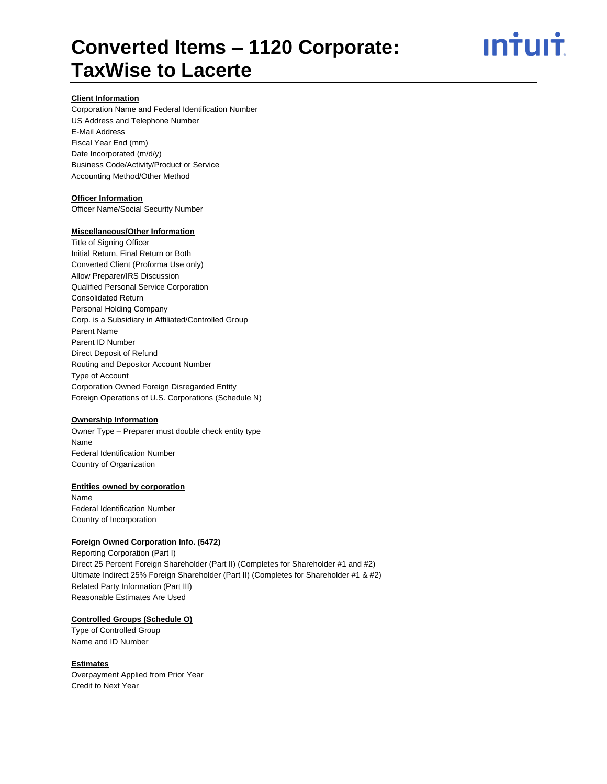# ın†ılı†

## **Client Information**

Corporation Name and Federal Identification Number US Address and Telephone Number E-Mail Address Fiscal Year End (mm) Date Incorporated (m/d/y) Business Code/Activity/Product or Service Accounting Method/Other Method

### **Officer Information**

Officer Name/Social Security Number

#### **Miscellaneous/Other Information**

Title of Signing Officer Initial Return, Final Return or Both Converted Client (Proforma Use only) Allow Preparer/IRS Discussion Qualified Personal Service Corporation Consolidated Return Personal Holding Company Corp. is a Subsidiary in Affiliated/Controlled Group Parent Name Parent ID Number Direct Deposit of Refund Routing and Depositor Account Number Type of Account Corporation Owned Foreign Disregarded Entity Foreign Operations of U.S. Corporations (Schedule N)

#### **Ownership Information**

Owner Type – Preparer must double check entity type Name Federal Identification Number Country of Organization

#### **Entities owned by corporation**

Name Federal Identification Number Country of Incorporation

#### **Foreign Owned Corporation Info. (5472)**

Reporting Corporation (Part I) Direct 25 Percent Foreign Shareholder (Part II) (Completes for Shareholder #1 and #2) Ultimate Indirect 25% Foreign Shareholder (Part II) (Completes for Shareholder #1 & #2) Related Party Information (Part III) Reasonable Estimates Are Used

# **Controlled Groups (Schedule O)**

Type of Controlled Group Name and ID Number

#### **Estimates**

Overpayment Applied from Prior Year Credit to Next Year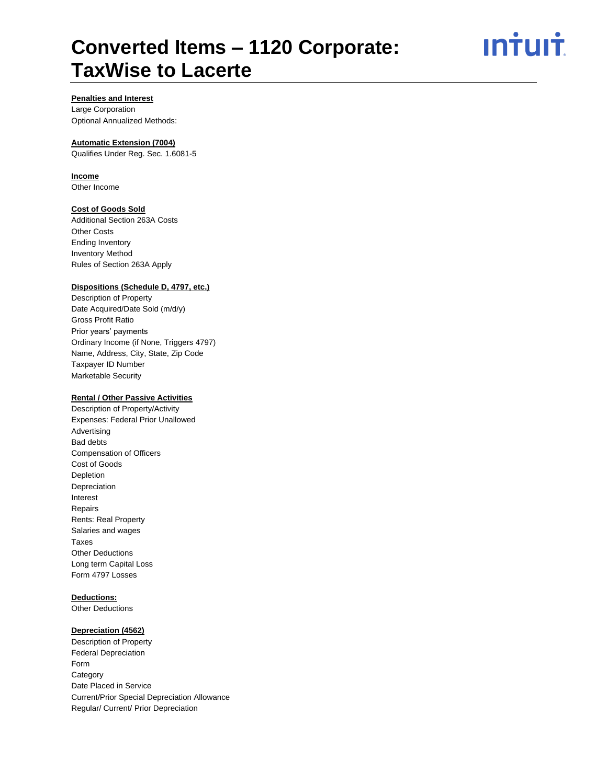ın<del>i</del>uı<del>i</del>

# **Penalties and Interest**

Large Corporation Optional Annualized Methods:

# **Automatic Extension (7004)**

Qualifies Under Reg. Sec. 1.6081-5

# **Income**

Other Income

# **Cost of Goods Sold**

Additional Section 263A Costs Other Costs Ending Inventory Inventory Method Rules of Section 263A Apply

#### **Dispositions (Schedule D, 4797, etc.)**

Description of Property Date Acquired/Date Sold (m/d/y) Gross Profit Ratio Prior years' payments Ordinary Income (if None, Triggers 4797) Name, Address, City, State, Zip Code Taxpayer ID Number Marketable Security

# **Rental / Other Passive Activities**

Description of Property/Activity Expenses: Federal Prior Unallowed Advertising Bad debts Compensation of Officers Cost of Goods Depletion Depreciation Interest Repairs Rents: Real Property Salaries and wages Taxes Other Deductions Long term Capital Loss Form 4797 Losses

# **Deductions:**

Other Deductions

# **Depreciation (4562)**

Description of Property Federal Depreciation Form **Category** Date Placed in Service Current/Prior Special Depreciation Allowance Regular/ Current/ Prior Depreciation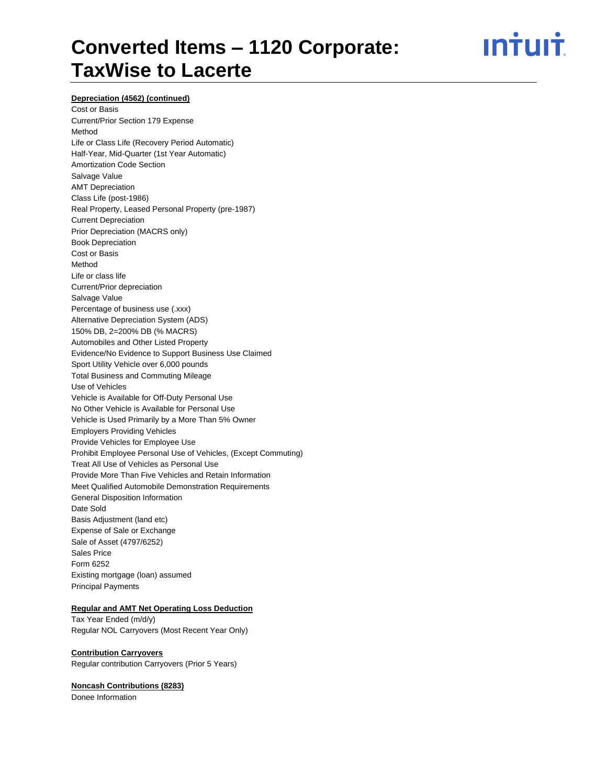<u>ıntuıt</u>

#### **Depreciation (4562) (continued)**

Cost or Basis Current/Prior Section 179 Expense Method Life or Class Life (Recovery Period Automatic) Half-Year, Mid-Quarter (1st Year Automatic) Amortization Code Section Salvage Value AMT Depreciation Class Life (post-1986) Real Property, Leased Personal Property (pre-1987) Current Depreciation Prior Depreciation (MACRS only) Book Depreciation Cost or Basis Method Life or class life Current/Prior depreciation Salvage Value Percentage of business use (.xxx) Alternative Depreciation System (ADS) 150% DB, 2=200% DB (% MACRS) Automobiles and Other Listed Property Evidence/No Evidence to Support Business Use Claimed Sport Utility Vehicle over 6,000 pounds Total Business and Commuting Mileage Use of Vehicles Vehicle is Available for Off-Duty Personal Use No Other Vehicle is Available for Personal Use Vehicle is Used Primarily by a More Than 5% Owner Employers Providing Vehicles Provide Vehicles for Employee Use Prohibit Employee Personal Use of Vehicles, (Except Commuting) Treat All Use of Vehicles as Personal Use Provide More Than Five Vehicles and Retain Information Meet Qualified Automobile Demonstration Requirements General Disposition Information Date Sold Basis Adjustment (land etc) Expense of Sale or Exchange Sale of Asset (4797/6252) Sales Price Form 6252 Existing mortgage (loan) assumed Principal Payments

#### **Regular and AMT Net Operating Loss Deduction**

Tax Year Ended (m/d/y) Regular NOL Carryovers (Most Recent Year Only)

#### **Contribution Carryovers**

Regular contribution Carryovers (Prior 5 Years)

#### **Noncash Contributions (8283)**

Donee Information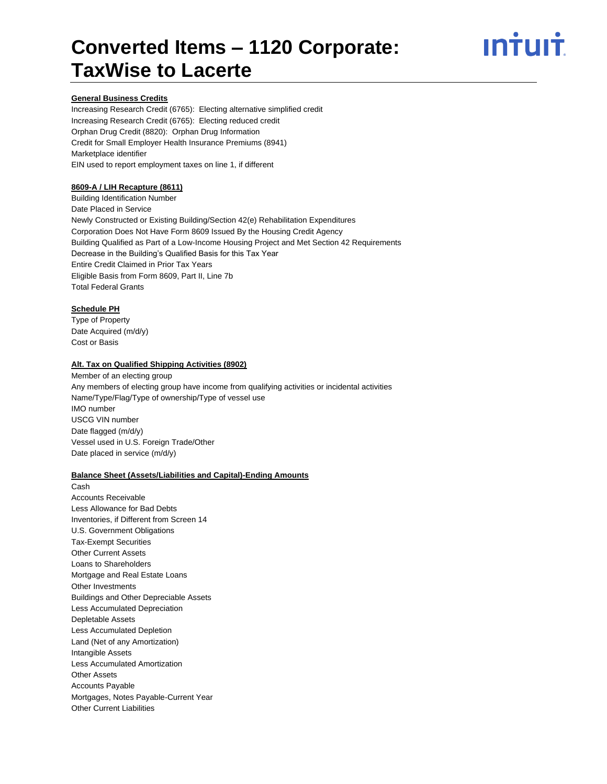# ın†uı†

# **General Business Credits**

Increasing Research Credit (6765): Electing alternative simplified credit Increasing Research Credit (6765): Electing reduced credit Orphan Drug Credit (8820): Orphan Drug Information Credit for Small Employer Health Insurance Premiums (8941) Marketplace identifier EIN used to report employment taxes on line 1, if different

## **8609-A / LIH Recapture (8611)**

Building Identification Number Date Placed in Service Newly Constructed or Existing Building/Section 42(e) Rehabilitation Expenditures Corporation Does Not Have Form 8609 Issued By the Housing Credit Agency Building Qualified as Part of a Low-Income Housing Project and Met Section 42 Requirements Decrease in the Building's Qualified Basis for this Tax Year Entire Credit Claimed in Prior Tax Years Eligible Basis from Form 8609, Part II, Line 7b Total Federal Grants

# **Schedule PH**

Type of Property Date Acquired (m/d/y) Cost or Basis

#### **Alt. Tax on Qualified Shipping Activities (8902)**

Member of an electing group Any members of electing group have income from qualifying activities or incidental activities Name/Type/Flag/Type of ownership/Type of vessel use IMO number USCG VIN number Date flagged (m/d/y) Vessel used in U.S. Foreign Trade/Other Date placed in service (m/d/y)

#### **Balance Sheet (Assets/Liabilities and Capital)-Ending Amounts**

Cash Accounts Receivable Less Allowance for Bad Debts Inventories, if Different from Screen 14 U.S. Government Obligations Tax-Exempt Securities Other Current Assets Loans to Shareholders Mortgage and Real Estate Loans Other Investments Buildings and Other Depreciable Assets Less Accumulated Depreciation Depletable Assets Less Accumulated Depletion Land (Net of any Amortization) Intangible Assets Less Accumulated Amortization Other Assets Accounts Payable Mortgages, Notes Payable-Current Year Other Current Liabilities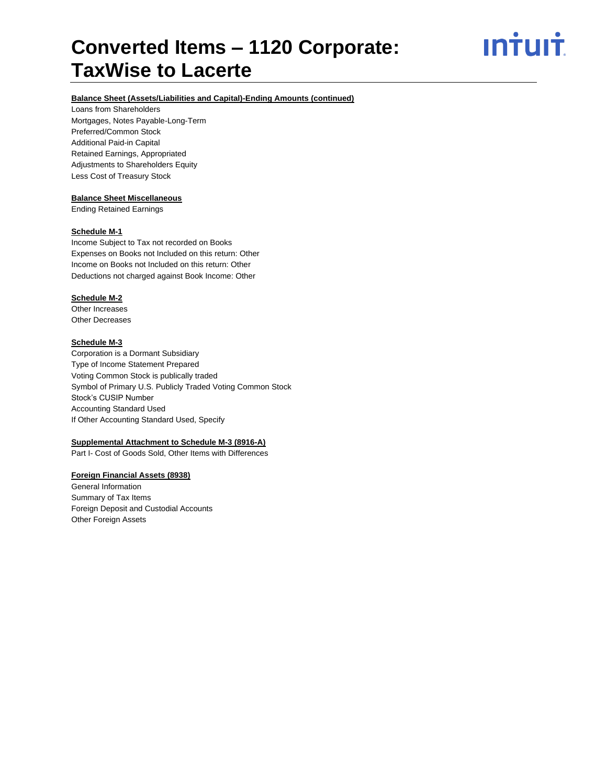# **Balance Sheet (Assets/Liabilities and Capital)-Ending Amounts (continued)**

Loans from Shareholders Mortgages, Notes Payable-Long-Term Preferred/Common Stock Additional Paid-in Capital Retained Earnings, Appropriated Adjustments to Shareholders Equity Less Cost of Treasury Stock

# **Balance Sheet Miscellaneous**

Ending Retained Earnings

#### **Schedule M-1**

Income Subject to Tax not recorded on Books Expenses on Books not Included on this return: Other Income on Books not Included on this return: Other Deductions not charged against Book Income: Other

# **Schedule M-2**

Other Increases Other Decreases

# **Schedule M-3**

Corporation is a Dormant Subsidiary Type of Income Statement Prepared Voting Common Stock is publically traded Symbol of Primary U.S. Publicly Traded Voting Common Stock Stock's CUSIP Number Accounting Standard Used If Other Accounting Standard Used, Specify

# **Supplemental Attachment to Schedule M-3 (8916-A)**

Part I- Cost of Goods Sold, Other Items with Differences

# **Foreign Financial Assets (8938)**

General Information Summary of Tax Items Foreign Deposit and Custodial Accounts Other Foreign Assets

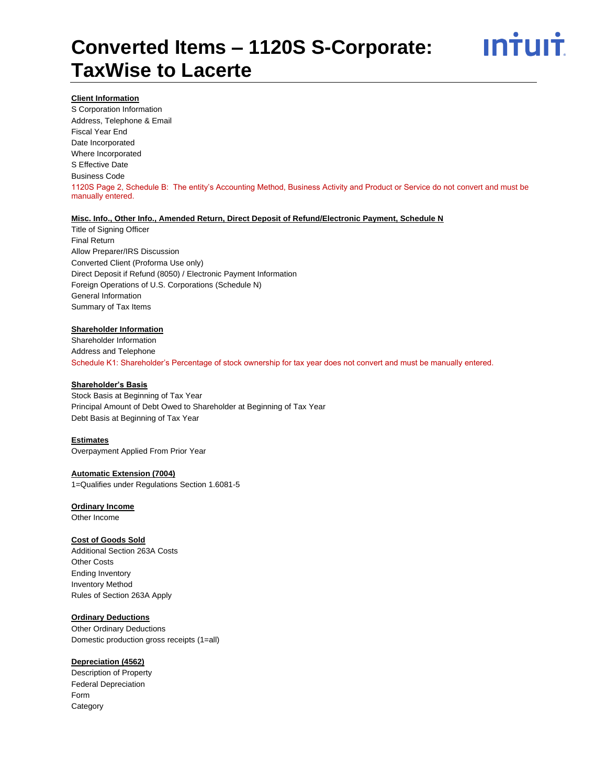

#### **Client Information**

S Corporation Information Address, Telephone & Email Fiscal Year End Date Incorporated Where Incorporated S Effective Date Business Code 1120S Page 2, Schedule B: The entity's Accounting Method, Business Activity and Product or Service do not convert and must be manually entered.

## **Misc. Info., Other Info., Amended Return, Direct Deposit of Refund/Electronic Payment, Schedule N**

Title of Signing Officer Final Return Allow Preparer/IRS Discussion Converted Client (Proforma Use only) Direct Deposit if Refund (8050) / Electronic Payment Information Foreign Operations of U.S. Corporations (Schedule N) General Information Summary of Tax Items

## **Shareholder Information**

Shareholder Information Address and Telephone Schedule K1: Shareholder's Percentage of stock ownership for tax year does not convert and must be manually entered.

## **Shareholder's Basis**

Stock Basis at Beginning of Tax Year Principal Amount of Debt Owed to Shareholder at Beginning of Tax Year Debt Basis at Beginning of Tax Year

#### **Estimates**

Overpayment Applied From Prior Year

## **Automatic Extension (7004)**

1=Qualifies under Regulations Section 1.6081-5

## **Ordinary Income**

Other Income

#### **Cost of Goods Sold**

Additional Section 263A Costs Other Costs Ending Inventory Inventory Method Rules of Section 263A Apply

#### **Ordinary Deductions**

Other Ordinary Deductions Domestic production gross receipts (1=all)

# **Depreciation (4562)**

Description of Property Federal Depreciation Form **Category**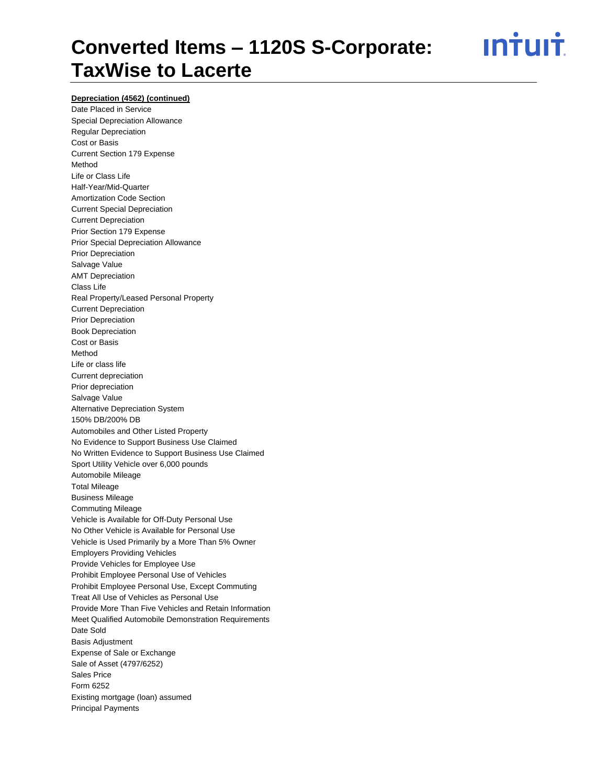<u>ıntuıt</u>

# **Depreciation (4562) (continued)**

Date Placed in Service Special Depreciation Allowance Regular Depreciation Cost or Basis Current Section 179 Expense Method Life or Class Life Half-Year/Mid-Quarter Amortization Code Section Current Special Depreciation Current Depreciation Prior Section 179 Expense Prior Special Depreciation Allowance Prior Depreciation Salvage Value AMT Depreciation Class Life Real Property/Leased Personal Property Current Depreciation Prior Depreciation Book Depreciation Cost or Basis Method Life or class life Current depreciation Prior depreciation Salvage Value Alternative Depreciation System 150% DB/200% DB Automobiles and Other Listed Property No Evidence to Support Business Use Claimed No Written Evidence to Support Business Use Claimed Sport Utility Vehicle over 6,000 pounds Automobile Mileage Total Mileage Business Mileage Commuting Mileage Vehicle is Available for Off-Duty Personal Use No Other Vehicle is Available for Personal Use Vehicle is Used Primarily by a More Than 5% Owner Employers Providing Vehicles Provide Vehicles for Employee Use Prohibit Employee Personal Use of Vehicles Prohibit Employee Personal Use, Except Commuting Treat All Use of Vehicles as Personal Use Provide More Than Five Vehicles and Retain Information Meet Qualified Automobile Demonstration Requirements Date Sold Basis Adjustment Expense of Sale or Exchange Sale of Asset (4797/6252) Sales Price Form 6252 Existing mortgage (loan) assumed Principal Payments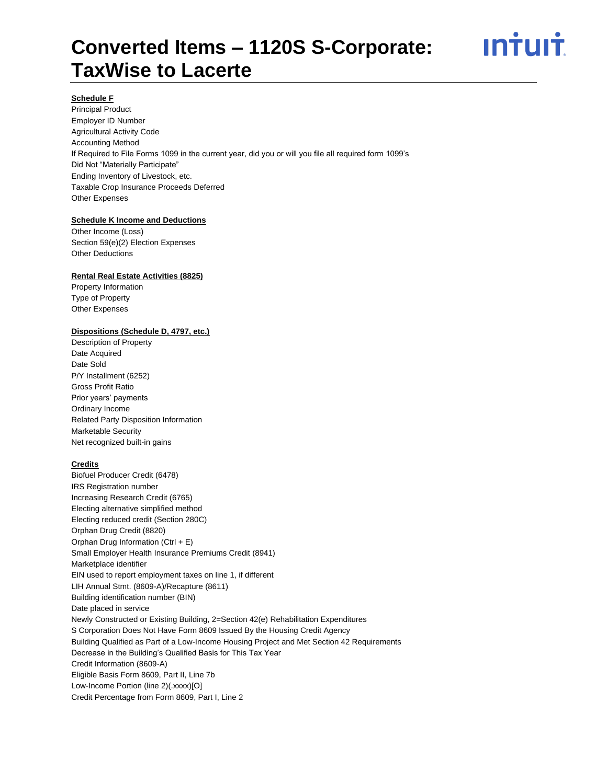

## **Schedule F**

Principal Product Employer ID Number Agricultural Activity Code Accounting Method If Required to File Forms 1099 in the current year, did you or will you file all required form 1099's Did Not "Materially Participate" Ending Inventory of Livestock, etc. Taxable Crop Insurance Proceeds Deferred Other Expenses

#### **Schedule K Income and Deductions**

Other Income (Loss) Section 59(e)(2) Election Expenses Other Deductions

## **Rental Real Estate Activities (8825)**

Property Information Type of Property Other Expenses

#### **Dispositions (Schedule D, 4797, etc.)**

Description of Property Date Acquired Date Sold P/Y Installment (6252) Gross Profit Ratio Prior years' payments Ordinary Income Related Party Disposition Information Marketable Security Net recognized built-in gains

#### **Credits**

Biofuel Producer Credit (6478) IRS Registration number Increasing Research Credit (6765) Electing alternative simplified method Electing reduced credit (Section 280C) Orphan Drug Credit (8820) Orphan Drug Information (Ctrl + E) Small Employer Health Insurance Premiums Credit (8941) Marketplace identifier EIN used to report employment taxes on line 1, if different LIH Annual Stmt. (8609-A)/Recapture (8611) Building identification number (BIN) Date placed in service Newly Constructed or Existing Building, 2=Section 42(e) Rehabilitation Expenditures S Corporation Does Not Have Form 8609 Issued By the Housing Credit Agency Building Qualified as Part of a Low-Income Housing Project and Met Section 42 Requirements Decrease in the Building's Qualified Basis for This Tax Year Credit Information (8609-A) Eligible Basis Form 8609, Part II, Line 7b Low-Income Portion (line 2)(.xxxx)[O] Credit Percentage from Form 8609, Part I, Line 2